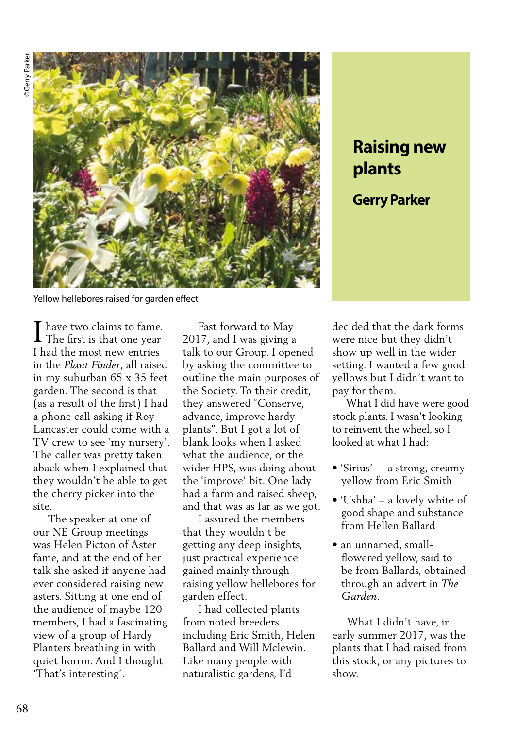

## **Raising new plants Gerry Parker**

Yellow hellebores raised for garden effect

I have two claims to fame.<br>The first is that one year The first is that one year I had the most new entries in the *Plant Finder*, all raised in my suburban 65 x 35 feet garden. The second is that (as a result of the first) I had a phone call asking if Roy Lancaster could come with a TV crew to see 'my nursery'. The caller was pretty taken aback when I explained that they wouldn't be able to get the cherry picker into the site.

 The speaker at one of our NE Group meetings was Helen Picton of Aster fame, and at the end of her talk she asked if anyone had ever considered raising new asters. Sitting at one end of the audience of maybe 120 members, I had a fascinating view of a group of Hardy Planters breathing in with quiet horror. And I thought 'That's interesting'.

 Fast forward to May 2017, and I was giving a talk to our Group. I opened by asking the committee to outline the main purposes of the Society. To their credit, they answered "Conserve, advance, improve hardy plants". But I got a lot of blank looks when I asked what the audience, or the wider HPS, was doing about the 'improve' bit. One lady had a farm and raised sheep, and that was as far as we got.

 I assured the members that they wouldn't be getting any deep insights, just practical experience gained mainly through raising yellow hellebores for garden effect.

 I had collected plants from noted breeders including Eric Smith, Helen Ballard and Will Mclewin. Like many people with naturalistic gardens, I'd

decided that the dark forms were nice but they didn't show up well in the wider setting. I wanted a few good yellows but I didn't want to pay for them.

 What I did have were good stock plants. I wasn't looking to reinvent the wheel, so I looked at what I had:

- 'Sirius' a strong, creamyyellow from Eric Smith
- 'Ushba' a lovely white of good shape and substance from Hellen Ballard
- an unnamed, smallflowered yellow, said to be from Ballards, obtained through an advert in *The Garden.*

 What I didn't have, in early summer 2017, was the plants that I had raised from this stock, or any pictures to show.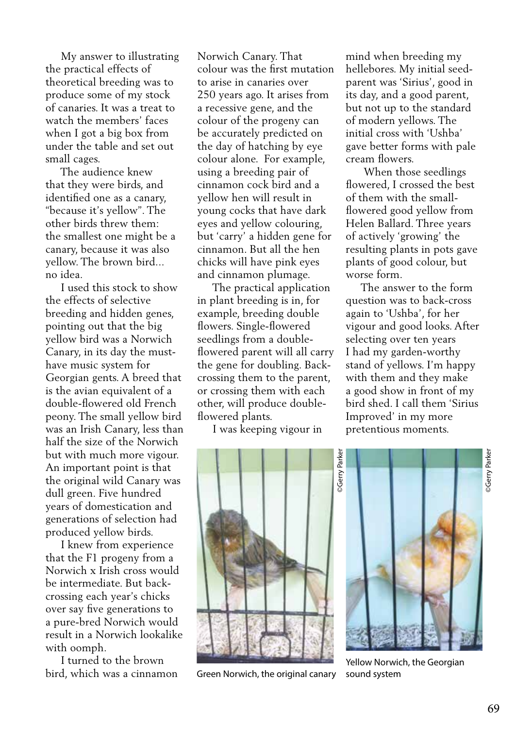My answer to illustrating the practical effects of theoretical breeding was to produce some of my stock of canaries. It was a treat to watch the members' faces when I got a big box from under the table and set out small cages.

 The audience knew that they were birds, and identified one as a canary, "because it's yellow". The other birds threw them: the smallest one might be a canary, because it was also yellow. The brown bird... no idea.

 I used this stock to show the effects of selective breeding and hidden genes, pointing out that the big yellow bird was a Norwich Canary, in its day the musthave music system for Georgian gents. A breed that is the avian equivalent of a double-flowered old French peony. The small yellow bird was an Irish Canary, less than half the size of the Norwich but with much more vigour. An important point is that the original wild Canary was dull green. Five hundred years of domestication and generations of selection had produced yellow birds.

 I knew from experience that the F1 progeny from a Norwich x Irish cross would be intermediate. But backcrossing each year's chicks over say five generations to a pure-bred Norwich would result in a Norwich lookalike with oomph.

 I turned to the brown bird, which was a cinnamon

Norwich Canary. That colour was the first mutation to arise in canaries over 250 years ago. It arises from a recessive gene, and the colour of the progeny can be accurately predicted on the day of hatching by eye colour alone. For example, using a breeding pair of cinnamon cock bird and a yellow hen will result in young cocks that have dark eyes and yellow colouring, but 'carry' a hidden gene for cinnamon. But all the hen chicks will have pink eyes and cinnamon plumage.

 The practical application in plant breeding is in, for example, breeding double flowers. Single-flowered seedlings from a doubleflowered parent will all carry the gene for doubling. Backcrossing them to the parent, or crossing them with each other, will produce doubleflowered plants.

I was keeping vigour in

mind when breeding my hellebores. My initial seedparent was 'Sirius', good in its day, and a good parent, but not up to the standard of modern yellows. The initial cross with 'Ushba' gave better forms with pale cream flowers.

 When those seedlings flowered, I crossed the best of them with the smallflowered good yellow from Helen Ballard. Three years of actively 'growing' the resulting plants in pots gave plants of good colour, but worse form.

 The answer to the form question was to back-cross again to 'Ushba', for her vigour and good looks. After selecting over ten years I had my garden-worthy stand of yellows. I'm happy with them and they make a good show in front of my bird shed. I call them 'Sirius Improved' in my more pretentious moments.



Green Norwich, the original canary



Yellow Norwich, the Georgian sound system